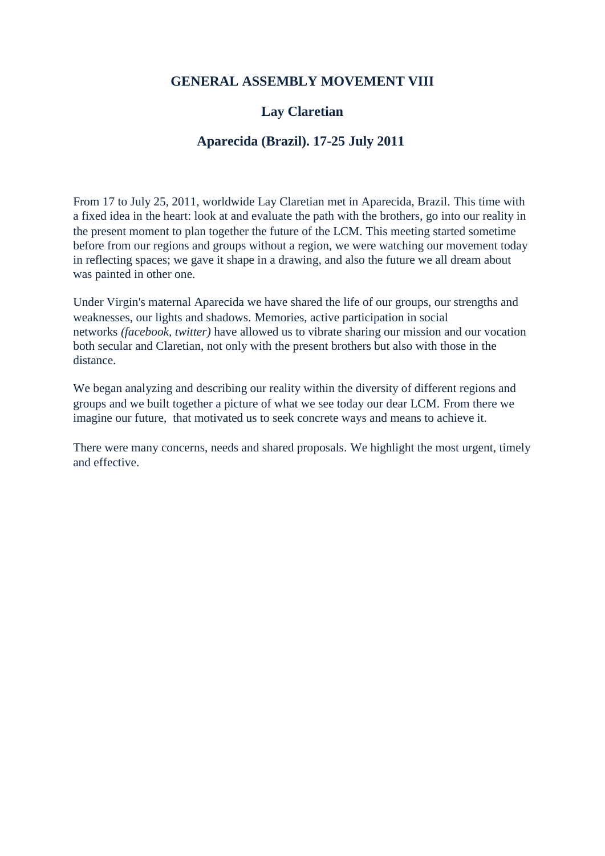#### **GENERAL ASSEMBLY MOVEMENT VIII**

## **Lay Claretian**

## **Aparecida (Brazil). 17-25 July 2011**

From 17 to July 25, 2011, worldwide Lay Claretian met in Aparecida, Brazil. This time with a fixed idea in the heart: look at and evaluate the path with the brothers, go into our reality in the present moment to plan together the future of the LCM. This meeting started sometime before from our regions and groups without a region, we were watching our movement today in reflecting spaces; we gave it shape in a drawing, and also the future we all dream about was painted in other one.

Under Virgin's maternal Aparecida we have shared the life of our groups, our strengths and weaknesses, our lights and shadows. Memories, active participation in social networks *(facebook, twitter)* have allowed us to vibrate sharing our mission and our vocation both secular and Claretian, not only with the present brothers but also with those in the distance.

We began analyzing and describing our reality within the diversity of different regions and groups and we built together a picture of what we see today our dear LCM. From there we imagine our future, that motivated us to seek concrete ways and means to achieve it.

There were many concerns, needs and shared proposals. We highlight the most urgent, timely and effective.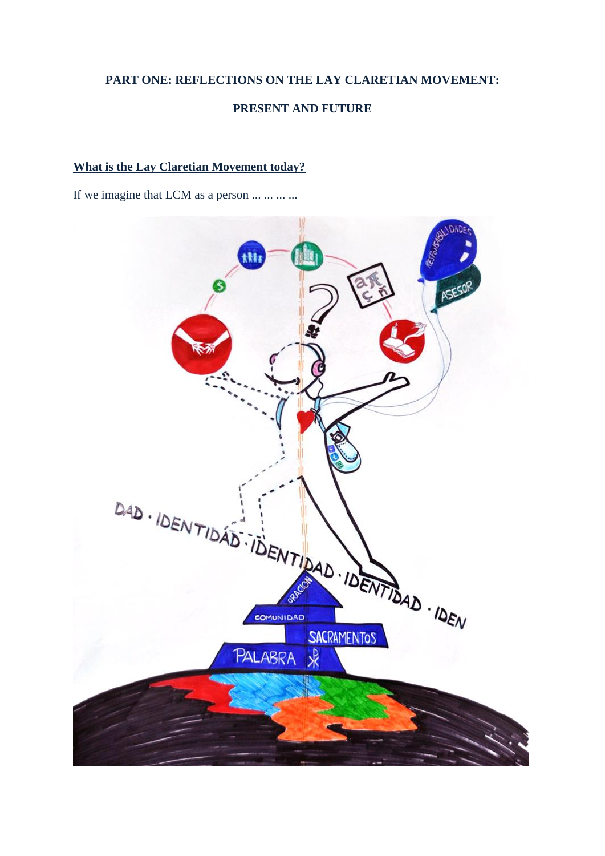# **PART ONE: REFLECTIONS ON THE LAY CLARETIAN MOVEMENT: PRESENT AND FUTURE**

#### **What is the Lay Claretian Movement today?**

If we imagine that LCM as a person ... ... ... ...

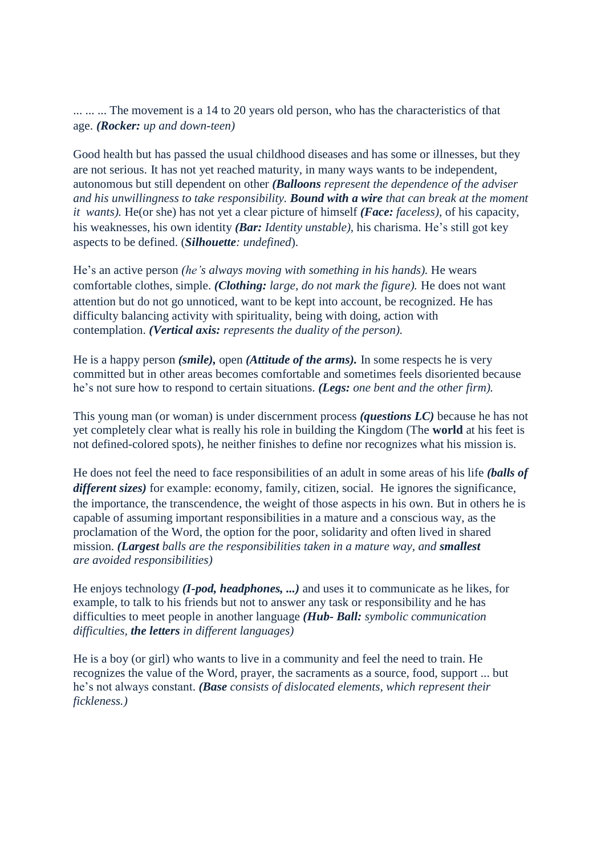... ... ... The movement is a 14 to 20 years old person, who has the characteristics of that age. *(Rocker: up and down-teen)*

Good health but has passed the usual childhood diseases and has some or illnesses, but they are not serious. It has not yet reached maturity, in many ways wants to be independent, autonomous but still dependent on other *(Balloons represent the dependence of the adviser and his unwillingness to take responsibility. Bound with a wire that can break at the moment it wants).* He(or she) has not yet a clear picture of himself *(Face: faceless),* of his capacity, his weaknesses, his own identity *(Bar: Identity unstable),* his charisma. He's still got key aspects to be defined. (*Silhouette: undefined*).

He's an active person *(he's always moving with something in his hands).* He wears comfortable clothes, simple. *(Clothing: large, do not mark the figure).* He does not want attention but do not go unnoticed, want to be kept into account, be recognized. He has difficulty balancing activity with spirituality, being with doing, action with contemplation. *(Vertical axis: represents the duality of the person).*

He is a happy person *(smile),* open *(Attitude of the arms).* In some respects he is very committed but in other areas becomes comfortable and sometimes feels disoriented because he's not sure how to respond to certain situations. *(Legs: one bent and the other firm).*

This young man (or woman) is under discernment process *(questions LC)* because he has not yet completely clear what is really his role in building the Kingdom (The **world** at his feet is not defined-colored spots), he neither finishes to define nor recognizes what his mission is.

He does not feel the need to face responsibilities of an adult in some areas of his life *(balls of different sizes)* for example: economy, family, citizen, social. He ignores the significance, the importance, the transcendence, the weight of those aspects in his own. But in others he is capable of assuming important responsibilities in a mature and a conscious way, as the proclamation of the Word, the option for the poor, solidarity and often lived in shared mission. *(Largest balls are the responsibilities taken in a mature way, and smallest are avoided responsibilities)*

He enjoys technology *(I-pod, headphones, ...)* and uses it to communicate as he likes, for example, to talk to his friends but not to answer any task or responsibility and he has difficulties to meet people in another language *(Hub- Ball: symbolic communication difficulties, the letters in different languages)*

He is a boy (or girl) who wants to live in a community and feel the need to train. He recognizes the value of the Word, prayer, the sacraments as a source, food, support ... but he's not always constant. *(Base consists of dislocated elements, which represent their fickleness.)*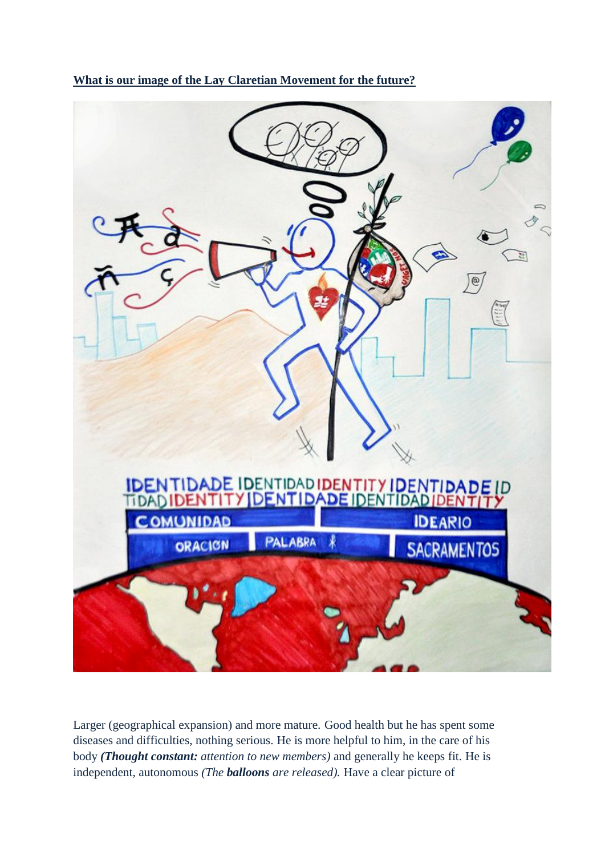

**What is our image of the Lay Claretian Movement for the future?**

Larger (geographical expansion) and more mature. Good health but he has spent some diseases and difficulties, nothing serious. He is more helpful to him, in the care of his body *(Thought constant: attention to new members)* and generally he keeps fit. He is independent, autonomous *(The balloons are released).* Have a clear picture of